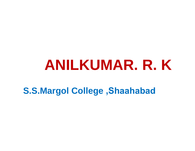## **ANILKUMAR. R. K**

**S.S.Margol College ,Shaahabad**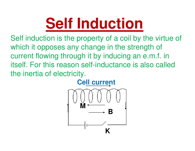# **Self Induction**

Self induction is the property of a coil by the virtue of which it opposes any change in the strength of current flowing through it by inducing an e.m.f. in itself. For this reason self-inductance is also called the inertia of electricity.

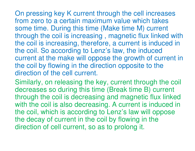On pressing key K current through the cell increases from zero to a certain maximum value which takes some time. During this time (Make time M) current through the coil is increasing , magnetic flux linked with the coil is increasing, therefore, a current is induced in the coil. So according to Lenz's law, the induced current at the make will oppose the growth of current in the coil by flowing in the direction opposite to the direction of the cell current.

Similarly, on releasing the key, current through the coil decreases so during this time (Break time B) current through the coil is decreasing and magnetic flux linked with the coil is also decreasing. A current is induced in the coil, which is according to Lenz's law will oppose the decay of current in the coil by flowing in the direction of cell current, so as to prolong it.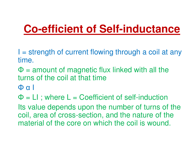### **Co-efficient of Self-inductance**

 $I =$  strength of current flowing through a coil at any time.

 $\Phi$  = amount of magnetic flux linked with all the  $\Phi$  = amount of magnetic flux linked with all the turns of the coil at that time

<sup>Φ</sup> <sup>α</sup> <sup>I</sup>

Φ = LI ; where L = Coefficient of self-induction Its value depends upon the number of turns of the coil, area of cross-section, and the nature of the material of the core on which the coil is wound.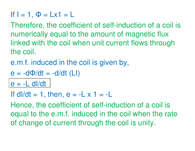### If I = 1, Φ = Lx1 = L

Therefore, the coefficient of self-induction of a coil is numerically equal to the amount of magnetic flux linked with the coil when unit current flows through the coil.

e.m.f. induced in the coil is given by,

$$
e = -d\Phi/dt = -d/dt (LI)
$$

 $e = -L$  dl/dt

If dI/dt = 1, then,  $e = -L \times 1 = -L$ 

Hence, the coefficient of self-induction of a coil is equal to the e.m.f. induced in the coil when the rate of change of current through the coil is unity.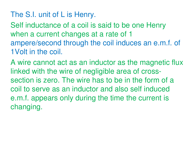### The S.I. unit of L is Henry.

Self inductance of a coil is said to be one Henry when a current changes at a rate of 1 ampere/second through the coil induces an e.m.f. of 1Volt in the coil.

A wire cannot act as an inductor as the magnetic flux linked with the wire of negligible area of crosssection is zero. The wire has to be in the form of a coil to serve as an inductor and also self induced e.m.f. appears only during the time the current is changing.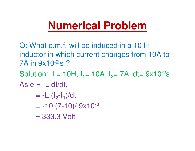### **Numerical Problem**

Q: What e.m.f. will be induced in a 10 H inductor in which current changes from 10A to 7A in 9x10**-2** s ? Solution: L= 10H, I<sub>1</sub>= 10A, I<sub>2</sub>= 7A, dt= 9x10<sup>-2</sup>s As  $e = -L$  dl/dt, = -L (I**2**-I**1**)/dt= -10 (7-10)/ 9x10**-2** = 333.3 Volt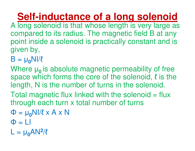**Self-inductance of a long solenoid**

- A long solenoid is that whose length is very large as compared to its radius. The magnetic field B at any point inside a solenoid is practically constant and is given by,
- B = µ**0**NI/ℓ

Where  $\mu_{0}$  is absolute magnetic permeability of free space which forms the core of the solenoid,  $\ell$  is the length, N is the number of turns in the solenoid.

Total magnetic flux linked with the solenoid = flux through each turn x total number of turns

- ΦΦ = μ<sub>0</sub>NI/ℓ x A x N
- Φ = LI
- $\mathsf{L} = \mathsf{\mu}_{\mathsf{0}}\mathsf{A}\mathsf{N}^{\mathsf{2}}$  $2/\ell$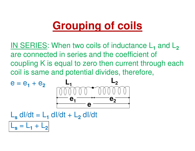## **Grouping of coils**

IN SERIES: When two coils of inductance L**1** are connected in series and the coefficient of  $\frac{1}{2}$  and L **2**coupling K is equal to zero then current through each coil is same and potential divides, therefore,

$$
e = e_1 + e_2
$$
  
\n
$$
\underbrace{000000 \text{ m}}_{\mathbf{e}_1} \underbrace{-1}_{\mathbf{e}_2}
$$
  
\n
$$
\underbrace{-1}_{\mathbf{e}_1} \underbrace{-1}_{\mathbf{e}_2}
$$

L**s** $\mathbf{s}$  dl/dt = L **1**<sub>1</sub> dl/dt + L **2**<sub>2</sub> dl/dt L**s** $s = L$ **1** $1 + L$ **2**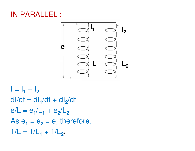#### **IN PARALL** <u>:</u>



 $I = I_1 + I_2$  $dl/dt = dl_1/dt + dl_2/dt$  $e/L = e_1/L_1 + e_2/L_2$  $\text{As } e_1 = e_2 = e$ , therefore,  $1/L = 1/L_1 + 1/L_2$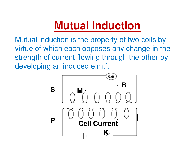### **Mutual Induction**

Mutual induction is the property of two coils by virtue of which each opposes any change in the strength of current flowing through the other by developing an induced e.m.f.

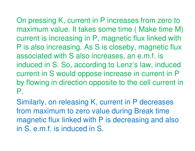On pressing K, current in P increases from zero to maximum value. It takes some time ( Make time M) current is increasing in P, magnetic flux linked with P is also increasing. As S is closeby, magnetic flux associated with S also increases, an e.m.f. is induced in S. So, according to Lenz's law, induced current in S would oppose increase in current in P by flowing in direction opposite to the cell current in P.

Similarly, on releasing K, current in P decreases from maximum to zero value during Break time magnetic flux linked with P is decreasing and also in S. e.m.f. is induced in S.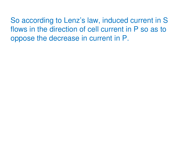So according to Lenz's law, induced current in S flows in the direction of cell current in P so as to oppose the decrease in current in P.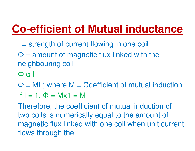## **Co-efficient of Mutual inductance**

- I = strength of current flowing in one coil
- $\Phi$  = amount of magnetic flux linked with the naighbouring and neighbouring coil
- Φα I
- Φ = MI ; where M = Coefficient of mutual induction
- If I = 1, Φ = Mx1 = M

 Therefore, the coefficient of mutual induction of two coils is numerically equal to the amount of magnetic flux linked with one coil when unit current flows through the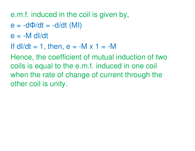### e.m.f. induced in the coil is given by,

- e = -dΦ/dt = -d/dt (MI)
- $e = -M$  dl/dt
- If dI/dt = 1, then,  $e = -M \times 1 = -M$

 Hence, the coefficient of mutual induction of two coils is equal to the e.m.f. induced in one coil when the rate of change of current through the other coil is unity.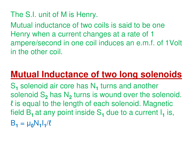### The S.I. unit of M is Henry.

Mutual inductance of two coils is said to be one Henry when a current changes at a rate of 1 ampere/second in one coil induces an e.m.f. of 1Volt in the other coil.

### **Mutual Inductance of two long solenoids**

 $\mathbf{S_{1}}$ solenoid S<sub>2</sub> has N<sub>2</sub> turns 1 solenoid air core has N **1**1 turns and another ℓ is equal to the length of each solenoid. Magnetic <sub>2</sub> has N **2**<sup>2</sup> turns is wound over the solenoid. field B**1** at any point inside S**1**<sub>1</sub> due to a current I **1** $\overline{1}$  is,  $B_1 = \mu_0 N_1 I_1/\ell$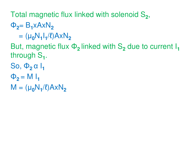Total magnetic flux linked with solenoid S**2**,

Φ**2**= B**1**xAxN**2**

= (µ**0**N**1**I**1**/ℓ)AxN**2**

 But, magnetic flux Φ**2** linked with S**2**<sub>2</sub> due to current I **1**through S**1**.

So, Φ**2** α <sup>I</sup>**<sup>1</sup>**

$$
\Phi_2 = M I_1
$$

M = (µ**0**N**1**/ℓ)AxN**2**